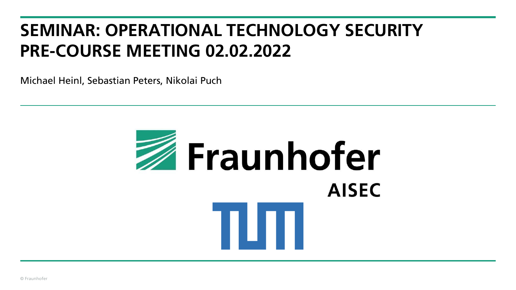# **SEMINAR: OPERATIONAL TECHNOLOGY SECURITY PRE-COURSE MEETING 02.02.2022**

Michael Heinl, Sebastian Peters, Nikolai Puch

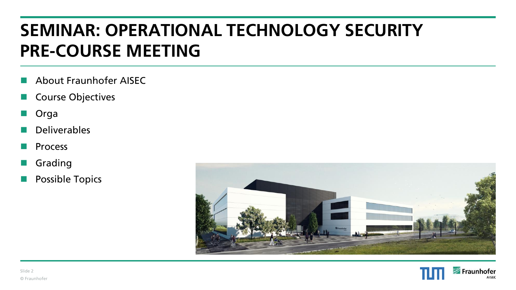# **SEMINAR: OPERATIONAL TECHNOLOGY SECURITY PRE-COURSE MEETING**

- ◼ About Fraunhofer AISEC
- Course Objectives
- **Orga**
- **Deliverables**
- **Process**
- **Grading**
- Possible Topics



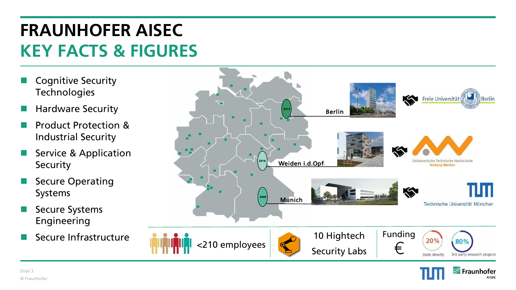# **FRAUNHOFER AISEC KEY FACTS & FIGURES**

- **Cognitive Security Technologies**
- ◼ Hardware Security
- ◼ Product Protection & Industrial Security
- Service & Application **Security**
- **Secure Operating** Systems
- Secure Systems Engineering
- Secure Infrastructure





**AISEC**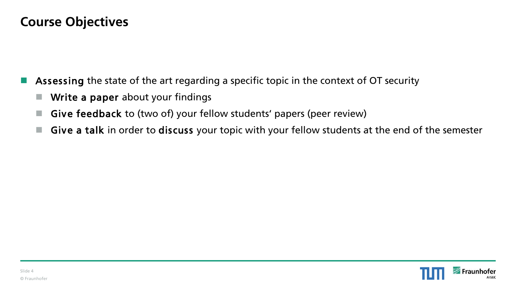#### **Course Objectives**

- Assessing the state of the art regarding a specific topic in the context of OT security
	- Write a paper about your findings
	- Give feedback to (two of) your fellow students' papers (peer review)
	- Give a talk in order to discuss your topic with your fellow students at the end of the semester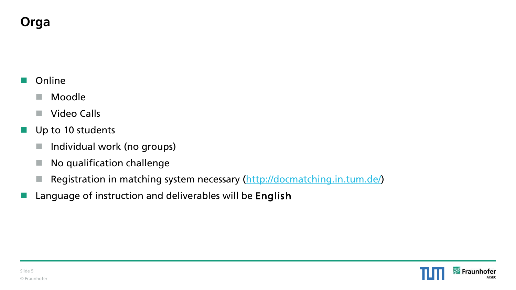# **Orga**

#### **Online**

- Moodle
- Video Calls
- Up to 10 students
	- Individual work (no groups)
	- No qualification challenge
	- Registration in matching system necessary [\(http://docmatching.in.tum.de/\)](http://docmatching.in.tum.de/)
	- Language of instruction and deliverables will be English

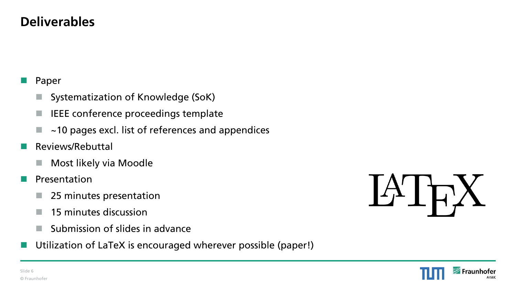#### **Deliverables**

#### Paper

- Systematization of Knowledge (SoK)
- IEEE conference proceedings template
- ~10 pages excl. list of references and appendices
- ◼ Reviews/Rebuttal
	- Most likely via Moodle
- **E** Presentation
	- 25 minutes presentation
	- $\blacksquare$  15 minutes discussion
	- $\blacksquare$  Submission of slides in advance
- Utilization of LaTeX is encouraged wherever possible (paper!)



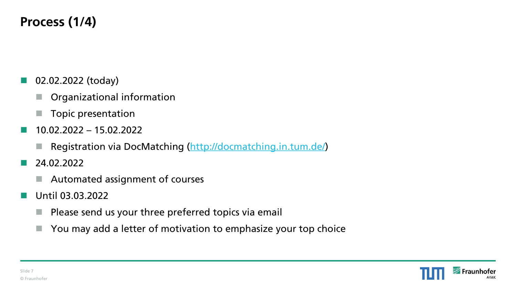# **Process (1/4)**

- 02.02.2022 (today)
	- Organizational information
	- Topic presentation
- ◼ 10.02.2022 15.02.2022
	- Registration via DocMatching [\(http://docmatching.in.tum.de/\)](http://docmatching.in.tum.de/)
- ◼ 24.02.2022
	- Automated assignment of courses
- Until 03.03.2022
	- Please send us your three preferred topics via email
	- You may add a letter of motivation to emphasize your top choice

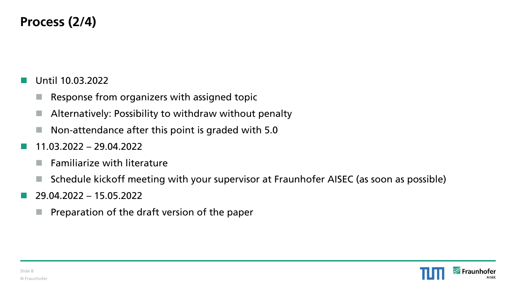## **Process (2/4)**

- ◼ Until 10.03.2022
	- Response from organizers with assigned topic
	- Alternatively: Possibility to withdraw without penalty
	- Non-attendance after this point is graded with 5.0
- ◼ 11.03.2022 29.04.2022
	- $\blacksquare$  Familiarize with literature
	- Schedule kickoff meeting with your supervisor at Fraunhofer AISEC (as soon as possible)
- ◼ 29.04.2022 15.05.2022
	- Preparation of the draft version of the paper

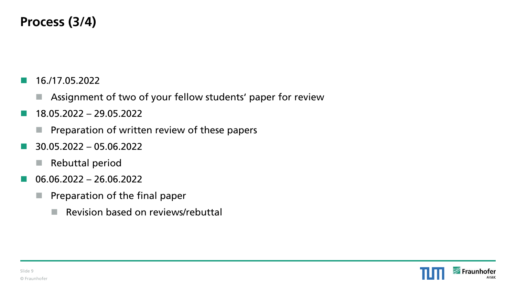### **Process (3/4)**

- $\blacksquare$  16./17.05.2022
	- Assignment of two of your fellow students' paper for review
- $\blacksquare$  18.05.2022 29.05.2022
	- Preparation of written review of these papers
- $\blacksquare$  30.05.2022 05.06.2022
	- Rebuttal period
- $\blacksquare$  06.06.2022 26.06.2022
	- Preparation of the final paper
		- Revision based on reviews/rebuttal

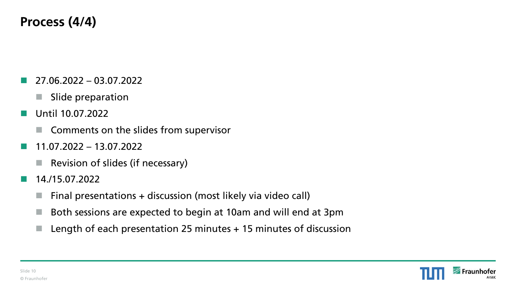## **Process (4/4)**

- ◼ 27.06.2022 03.07.2022
	- Slide preparation
- ◼ Until 10.07.2022
	- Comments on the slides from supervisor
- ◼ 11.07.2022 13.07.2022
	- Revision of slides (if necessary)
- $\blacksquare$  14./15.07.2022
	- Final presentations + discussion (most likely via video call)
	- Both sessions are expected to begin at 10am and will end at 3pm
	- $\blacksquare$  Length of each presentation 25 minutes  $+$  15 minutes of discussion

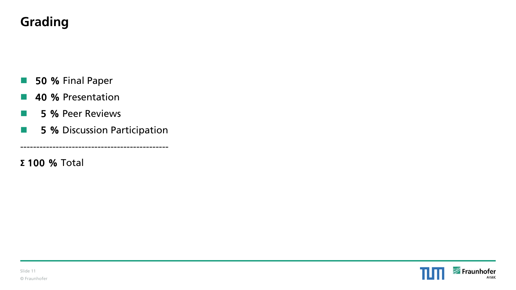# **Grading**

- 50 % Final Paper
- 40 % Presentation
- 5 % Peer Reviews
- 5 % Discussion Participation

----------------------------------------------

**Σ** 100 % Total

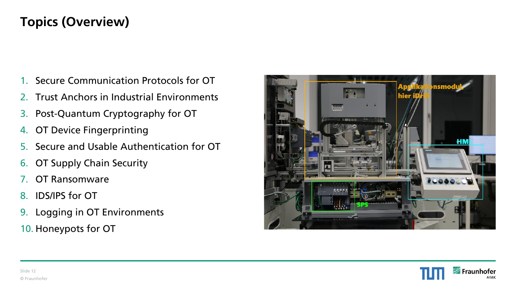# **Topics (Overview)**

- 1. Secure Communication Protocols for OT
- 2. Trust Anchors in Industrial Environments
- 3. Post-Quantum Cryptography for OT
- 4. OT Device Fingerprinting
- 5. Secure and Usable Authentication for OT
- 6. OT Supply Chain Security
- 7. OT Ransomware
- 8. IDS/IPS for OT
- 9. Logging in OT Environments
- 10. Honeypots for OT



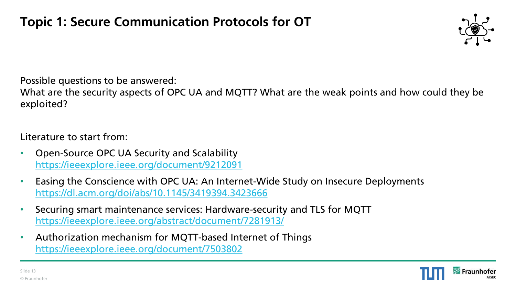

What are the security aspects of OPC UA and MQTT? What are the weak points and how could they be exploited?

- Open-Source OPC UA Security and Scalability <https://ieeexplore.ieee.org/document/9212091>
- Easing the Conscience with OPC UA: An Internet-Wide Study on Insecure Deployments <https://dl.acm.org/doi/abs/10.1145/3419394.3423666>
- Securing smart maintenance services: Hardware-security and TLS for MQTT <https://ieeexplore.ieee.org/abstract/document/7281913/>
- Authorization mechanism for MQTT-based Internet of Things <https://ieeexplore.ieee.org/document/7503802>

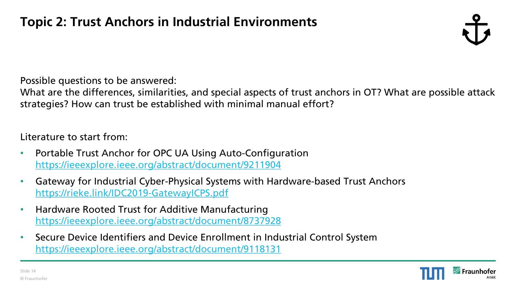What are the differences, similarities, and special aspects of trust anchors in OT? What are possible attack strategies? How can trust be established with minimal manual effort?

- Portable Trust Anchor for OPC UA Using Auto-Configuration <https://ieeexplore.ieee.org/abstract/document/9211904>
- Gateway for Industrial Cyber-Physical Systems with Hardware-based Trust Anchors <https://rieke.link/IDC2019-GatewayICPS.pdf>
- Hardware Rooted Trust for Additive Manufacturing <https://ieeexplore.ieee.org/abstract/document/8737928>
- Secure Device Identifiers and Device Enrollment in Industrial Control System <https://ieeexplore.ieee.org/abstract/document/9118131>

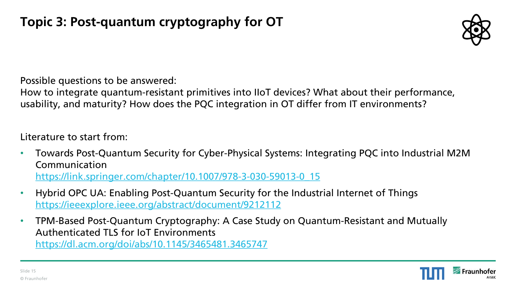

How to integrate quantum-resistant primitives into IIoT devices? What about their performance, usability, and maturity? How does the PQC integration in OT differ from IT environments?

- Towards Post-Quantum Security for Cyber-Physical Systems: Integrating PQC into Industrial M2M Communication [https://link.springer.com/chapter/10.1007/978-3-030-59013-0\\_15](https://link.springer.com/chapter/10.1007/978-3-030-59013-0_15)
- Hybrid OPC UA: Enabling Post-Quantum Security for the Industrial Internet of Things <https://ieeexplore.ieee.org/abstract/document/9212112>
- TPM-Based Post-Quantum Cryptography: A Case Study on Quantum-Resistant and Mutually Authenticated TLS for IoT Environments <https://dl.acm.org/doi/abs/10.1145/3465481.3465747>

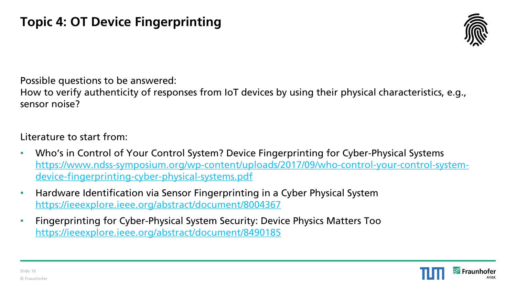

How to verify authenticity of responses from IoT devices by using their physical characteristics, e.g., sensor noise?

- Who's in Control of Your Control System? Device Fingerprinting for Cyber-Physical Systems [https://www.ndss-symposium.org/wp-content/uploads/2017/09/who-control-your-control-system](https://www.ndss-symposium.org/wp-content/uploads/2017/09/who-control-your-control-system-device-fingerprinting-cyber-physical-systems.pdf)device-fingerprinting-cyber-physical-systems.pdf
- Hardware Identification via Sensor Fingerprinting in a Cyber Physical System [https://ieeexplore.ieee.org/abstract/document/8004367](https://ieeexplore.ieee.org/abstract/document/8004367?casa_token=s8werCIhMasAAAAA:Ckl54jrQjRObhXruDmD8ExSBFyj3Oi0KNGelTW_SU4L5z5fyMkJILzOCS0dSapvvXlpOY7b2kwfb)
- Fingerprinting for Cyber-Physical System Security: Device Physics Matters Too <https://ieeexplore.ieee.org/abstract/document/8490185>

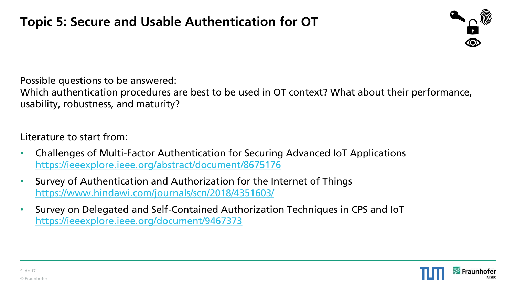

Which authentication procedures are best to be used in OT context? What about their performance, usability, robustness, and maturity?

- Challenges of Multi-Factor Authentication for Securing Advanced IoT Applications <https://ieeexplore.ieee.org/abstract/document/8675176>
- Survey of Authentication and Authorization for the Internet of Things <https://www.hindawi.com/journals/scn/2018/4351603/>
- Survey on Delegated and Self-Contained Authorization Techniques in CPS and IoT <https://ieeexplore.ieee.org/document/9467373>

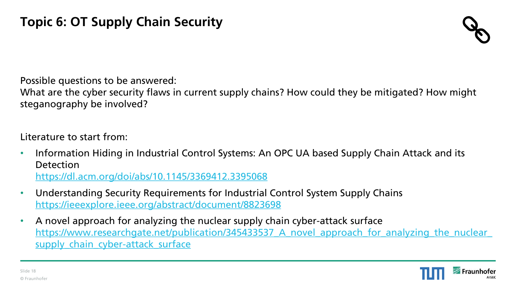

What are the cyber security flaws in current supply chains? How could they be mitigated? How might steganography be involved?

- Information Hiding in Industrial Control Systems: An OPC UA based Supply Chain Attack and its Detection <https://dl.acm.org/doi/abs/10.1145/3369412.3395068>
- Understanding Security Requirements for Industrial Control System Supply Chains <https://ieeexplore.ieee.org/abstract/document/8823698>
- A novel approach for analyzing the nuclear supply chain cyber-attack surface https://www.researchgate.net/publication/345433537 A novel approach for analyzing the nuclear supply chain cyber-attack surface

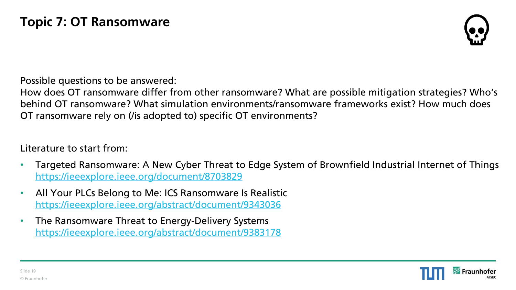

How does OT ransomware differ from other ransomware? What are possible mitigation strategies? Who's behind OT ransomware? What simulation environments/ransomware frameworks exist? How much does OT ransomware rely on (/is adopted to) specific OT environments?

- Targeted Ransomware: A New Cyber Threat to Edge System of Brownfield Industrial Internet of Things <https://ieeexplore.ieee.org/document/8703829>
- All Your PLCs Belong to Me: ICS Ransomware Is Realistic <https://ieeexplore.ieee.org/abstract/document/9343036>
- The Ransomware Threat to Energy-Delivery Systems <https://ieeexplore.ieee.org/abstract/document/9383178>

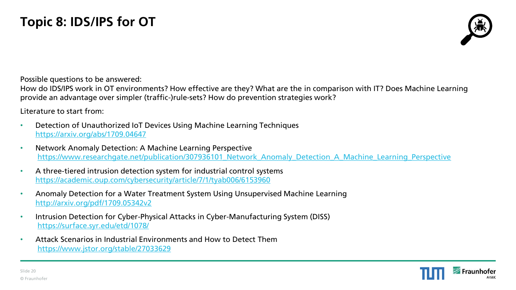

How do IDS/IPS work in OT environments? How effective are they? What are the in comparison with IT? Does Machine Learning provide an advantage over simpler (traffic-)rule-sets? How do prevention strategies work?

- Detection of Unauthorized IoT Devices Using Machine Learning Techniques <https://arxiv.org/abs/1709.04647>
- Network Anomaly Detection: A Machine Learning Perspective [https://www.researchgate.net/publication/307936101\\_Network\\_Anomaly\\_Detection\\_A\\_Machine\\_Learning\\_Perspective](https://www.researchgate.net/publication/307936101_Network_Anomaly_Detection_A_Machine_Learning_Perspective)
- A three-tiered intrusion detection system for industrial control systems <https://academic.oup.com/cybersecurity/article/7/1/tyab006/6153960>
- Anomaly Detection for a Water Treatment System Using Unsupervised Machine Learning <http://arxiv.org/pdf/1709.05342v2>
- Intrusion Detection for Cyber-Physical Attacks in Cyber-Manufacturing System (DISS) <https://surface.syr.edu/etd/1078/>
- Attack Scenarios in Industrial Environments and How to Detect Them <https://www.jstor.org/stable/27033629>

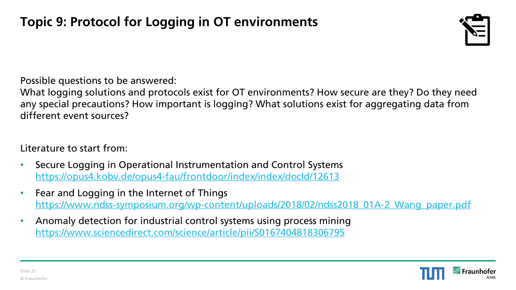

What logging solutions and protocols exist for OT environments? How secure are they? Do they need any special precautions? How important is logging? What solutions exist for aggregating data from different event sources?

- Secure Logging in Operational Instrumentation and Control Systems <https://opus4.kobv.de/opus4-fau/frontdoor/index/index/docId/12613>
- Fear and Logging in the Internet of Things [https://www.ndss-symposium.org/wp-content/uploads/2018/02/ndss2018\\_01A-2\\_Wang\\_paper.pdf](https://www.ndss-symposium.org/wp-content/uploads/2018/02/ndss2018_01A-2_Wang_paper.pdf)
- Anomaly detection for industrial control systems using process mining <https://www.sciencedirect.com/science/article/pii/S0167404818306795>

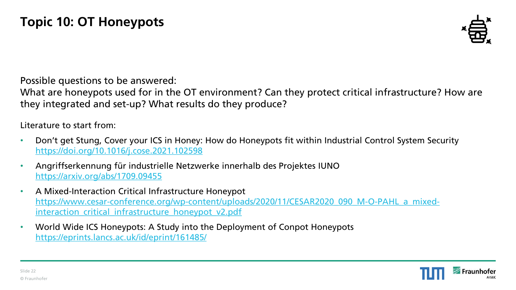

What are honeypots used for in the OT environment? Can they protect critical infrastructure? How are they integrated and set-up? What results do they produce?

- Don't get Stung, Cover your ICS in Honey: How do Honeypots fit within Industrial Control System Security <https://doi.org/10.1016/j.cose.2021.102598>
- Angriffserkennung für industrielle Netzwerke innerhalb des Projektes IUNO <https://arxiv.org/abs/1709.09455>
- A Mixed-Interaction Critical Infrastructure Honeypot [https://www.cesar-conference.org/wp-content/uploads/2020/11/CESAR2020\\_090\\_M-O-PAHL\\_a\\_mixed](https://www.cesar-conference.org/wp-content/uploads/2020/11/CESAR2020_090_M-O-PAHL_a_mixed-interaction_critical_infrastructure_honeypot_v2.pdf)interaction critical infrastructure honeypot v2.pdf
- World Wide ICS Honeypots: A Study into the Deployment of Conpot Honeypots <https://eprints.lancs.ac.uk/id/eprint/161485/>